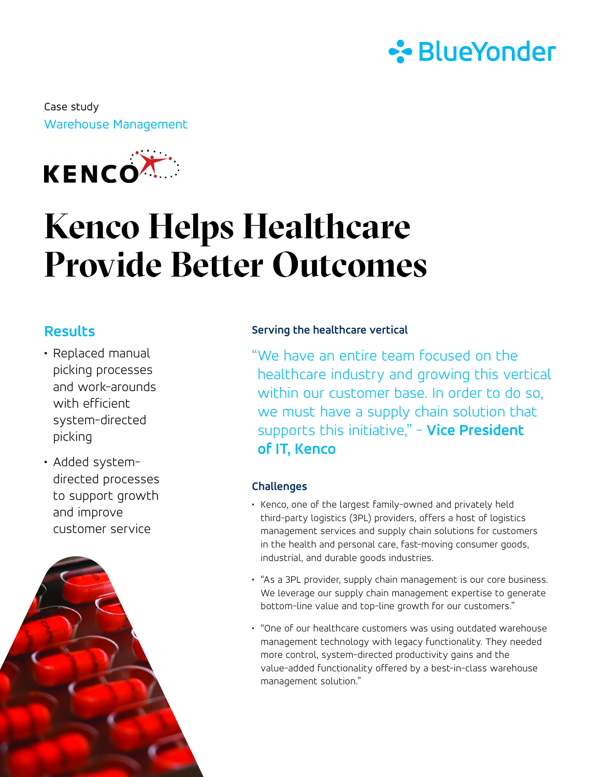

Warehouse Management Case study



## **Kenco Helps Healthcare Provide Better Outcomes**

### **Results**

- Replaced manual picking processes and work-arounds with efficient system-directed picking
- Added systemdirected processes to support growth and improve customer service



#### **Serving the healthcare vertical**

"We have an entire team focused on the healthcare industry and growing this vertical within our customer base. In order to do so, we must have a supply chain solution that supports this initiative," - **Vice President of IT, Kenco**

#### **Challenges**

- Kenco, one of the largest family-owned and privately held third-party logistics (3PL) providers, offers a host of logistics management services and supply chain solutions for customers in the health and personal care, fast-moving consumer goods, industrial, and durable goods industries.
- "As a 3PL provider, supply chain management is our core business. We leverage our supply chain management expertise to generate bottom-line value and top-line growth for our customers."
- "One of our healthcare customers was using outdated warehouse management technology with legacy functionality. They needed more control, system-directed productivity gains and the value-added functionality offered by a best-in-class warehouse management solution."